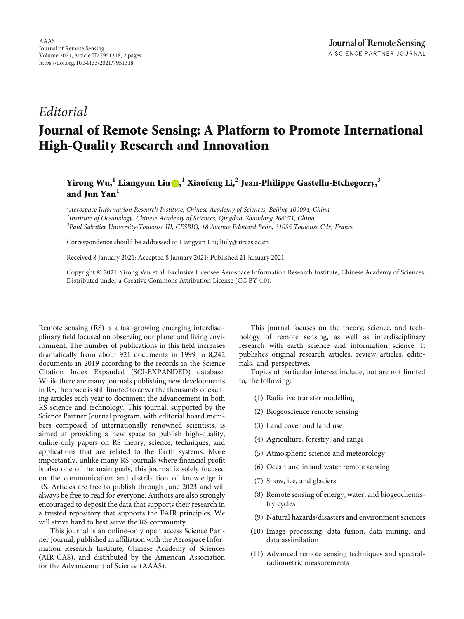## Editorial

## Journal of Remote Sensing: A Platform to Promote International High-Quality Research and Innovation

Yirong Wu,**<sup>1</sup>** Liangyun Liu [,](https://orcid.org/0000-0002-7987-037X) **<sup>1</sup>** Xiaofeng Li,**<sup>2</sup>** Jean-Philippe Gastellu-Etchegorry,**<sup>3</sup>** and Jun Yan**<sup>1</sup>**

<sup>1</sup> Aerospace Information Research Institute, Chinese Academy of Sciences, Beijing 100094, China  $^{2}$ Institute of Oceanology, Chinese Academy of Sciences, Qingdao, Shandong 266071, China <sup>3</sup> Paul Sabatier University-Toulouse III, CESBIO, 18 Avenue Edouard Belin, 31055 Toulouse Cdx, France

Correspondence should be addressed to Liangyun Liu; liuly@aircas.ac.cn

Received 8 January 2021; Accepted 8 January 2021; Published 21 January 2021

Copyright © 2021 Yirong Wu et al. Exclusive Licensee Aerospace Information Research Institute, Chinese Academy of Sciences. Distributed under a Creative Commons Attribution License (CC BY 4.0).

Remote sensing (RS) is a fast-growing emerging interdisciplinary field focused on observing our planet and living environment. The number of publications in this field increases dramatically from about 921 documents in 1999 to 8,242 documents in 2019 according to the records in the Science Citation Index Expanded (SCI-EXPANDED) database. While there are many journals publishing new developments in RS, the space is still limited to cover the thousands of exciting articles each year to document the advancement in both RS science and technology. This journal, supported by the Science Partner Journal program, with editorial board members composed of internationally renowned scientists, is aimed at providing a new space to publish high-quality, online-only papers on RS theory, science, techniques, and applications that are related to the Earth systems. More importantly, unlike many RS journals where financial profit is also one of the main goals, this journal is solely focused on the communication and distribution of knowledge in RS. Articles are free to publish through June 2023 and will always be free to read for everyone. Authors are also strongly encouraged to deposit the data that supports their research in a trusted repository that supports the FAIR principles. We will strive hard to best serve the RS community.

This journal is an online-only open access Science Partner Journal, published in affiliation with the Aerospace Information Research Institute, Chinese Academy of Sciences (AIR-CAS), and distributed by the American Association for the Advancement of Science (AAAS).

This journal focuses on the theory, science, and technology of remote sensing, as well as interdisciplinary research with earth science and information science. It publishes original research articles, review articles, editorials, and perspectives.

Topics of particular interest include, but are not limited to, the following:

- (1) Radiative transfer modelling
- (2) Biogeoscience remote sensing
- (3) Land cover and land use
- (4) Agriculture, forestry, and range
- (5) Atmospheric science and meteorology
- (6) Ocean and inland water remote sensing
- (7) Snow, ice, and glaciers
- (8) Remote sensing of energy, water, and biogeochemistry cycles
- (9) Natural hazards/disasters and environment sciences
- (10) Image processing, data fusion, data mining, and data assimilation
- (11) Advanced remote sensing techniques and spectralradiometric measurements